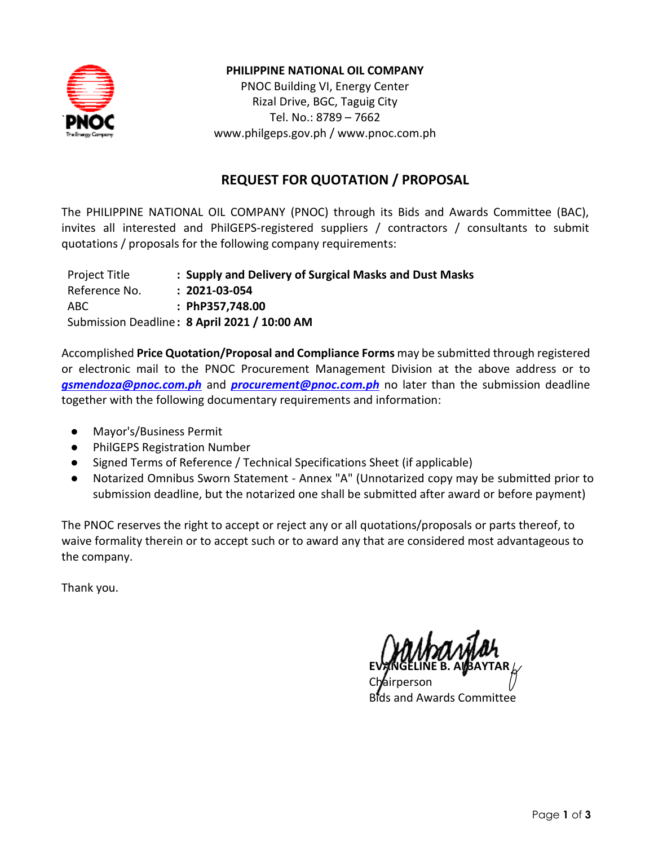

### **PHILIPPINE NATIONAL OIL COMPANY**

PNOC Building VI, Energy Center Rizal Drive, BGC, Taguig City Tel. No.: 8789 – 7662 [www.philgeps.gov.ph](http://www.philgeps.gov.ph/) / [www.pnoc.com.ph](http://www.pnoc.com.ph/)

## **REQUEST FOR QUOTATION / PROPOSAL**

The PHILIPPINE NATIONAL OIL COMPANY (PNOC) through its Bids and Awards Committee (BAC), invites all interested and PhilGEPS-registered suppliers / contractors / consultants to submit quotations / proposals for the following company requirements:

| Project Title | : Supply and Delivery of Surgical Masks and Dust Masks |
|---------------|--------------------------------------------------------|
| Reference No. | $: 2021 - 03 - 054$                                    |
| ABC           | : PhP357,748.00                                        |
|               | Submission Deadline: 8 April 2021 / 10:00 AM           |

Accomplished **Price Quotation/Proposal and Compliance Forms** may be submitted through registered or electronic mail to the PNOC Procurement Management Division at the above address or to *[gsmendoza@pnoc.com.ph](mailto:gsmendoza@pnoc.com.ph)* and *[procurement@pnoc.com.ph](mailto:procurement@pnoc.com.ph)* no later than the submission deadline together with the following documentary requirements and information:

- Mayor's/Business Permit
- PhilGEPS Registration Number
- Signed Terms of Reference / Technical Specifications Sheet (if applicable)
- Notarized Omnibus Sworn Statement Annex "A" (Unnotarized copy may be submitted prior to submission deadline, but the notarized one shall be submitted after award or before payment)

The PNOC reserves the right to accept or reject any or all quotations/proposals or parts thereof, to waive formality therein or to accept such or to award any that are considered most advantageous to the company.

Thank you.

**EVANGELINE B. ALBAYTAR**  Chairperson

Bids and Awards Committee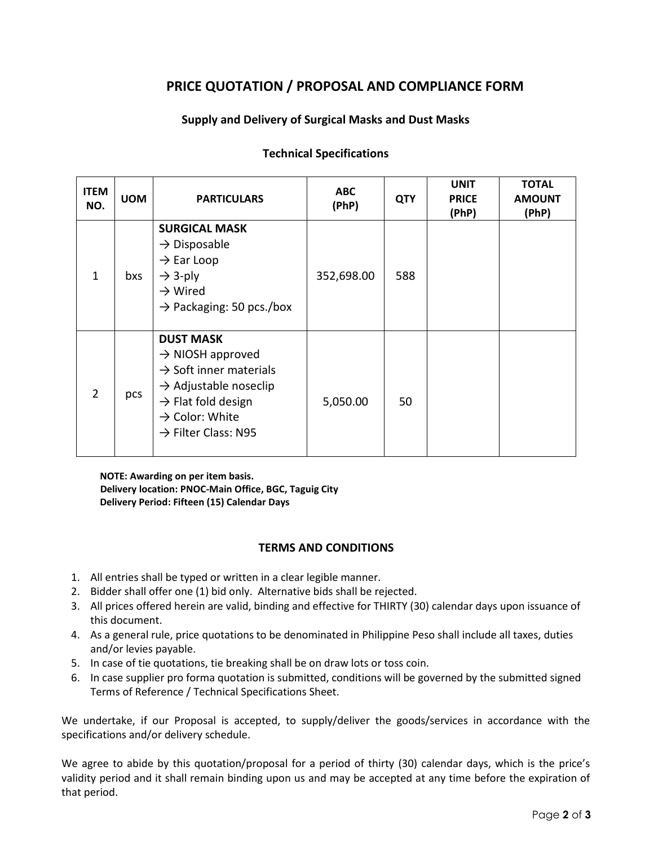# **PRICE QUOTATION / PROPOSAL AND COMPLIANCE FORM**

### **Supply and Delivery of Surgical Masks and Dust Masks**

| <b>ITEM</b><br>NO. | <b>UOM</b> | <b>PARTICULARS</b>                                                                                                                                                                                                             | <b>ABC</b><br>(PhP) | <b>QTY</b> | <b>UNIT</b><br><b>PRICE</b><br>(PhP) | <b>TOTAL</b><br><b>AMOUNT</b><br>(PhP) |
|--------------------|------------|--------------------------------------------------------------------------------------------------------------------------------------------------------------------------------------------------------------------------------|---------------------|------------|--------------------------------------|----------------------------------------|
| $\mathbf{1}$       | bxs        | <b>SURGICAL MASK</b><br>$\rightarrow$ Disposable<br>$\rightarrow$ Ear Loop<br>$\rightarrow$ 3-ply<br>$\rightarrow$ Wired<br>$\rightarrow$ Packaging: 50 pcs./box                                                               | 352,698.00          | 588        |                                      |                                        |
| 2                  | pcs        | <b>DUST MASK</b><br>$\rightarrow$ NIOSH approved<br>$\rightarrow$ Soft inner materials<br>$\rightarrow$ Adjustable noseclip<br>$\rightarrow$ Flat fold design<br>$\rightarrow$ Color: White<br>$\rightarrow$ Filter Class: N95 | 5,050.00            | 50         |                                      |                                        |

#### **Technical Specifications**

**NOTE: Awarding on per item basis. Delivery location: PNOC-Main Office, BGC, Taguig City Delivery Period: Fifteen (15) Calendar Days**

#### **TERMS AND CONDITIONS**

- 1. All entries shall be typed or written in a clear legible manner.
- 2. Bidder shall offer one (1) bid only. Alternative bids shall be rejected.
- 3. All prices offered herein are valid, binding and effective for THIRTY (30) calendar days upon issuance of this document.
- 4. As a general rule, price quotations to be denominated in Philippine Peso shall include all taxes, duties and/or levies payable.
- 5. In case of tie quotations, tie breaking shall be on draw lots or toss coin.
- 6. In case supplier pro forma quotation is submitted, conditions will be governed by the submitted signed Terms of Reference / Technical Specifications Sheet.

We undertake, if our Proposal is accepted, to supply/deliver the goods/services in accordance with the specifications and/or delivery schedule.

We agree to abide by this quotation/proposal for a period of thirty (30) calendar days, which is the price's validity period and it shall remain binding upon us and may be accepted at any time before the expiration of that period.